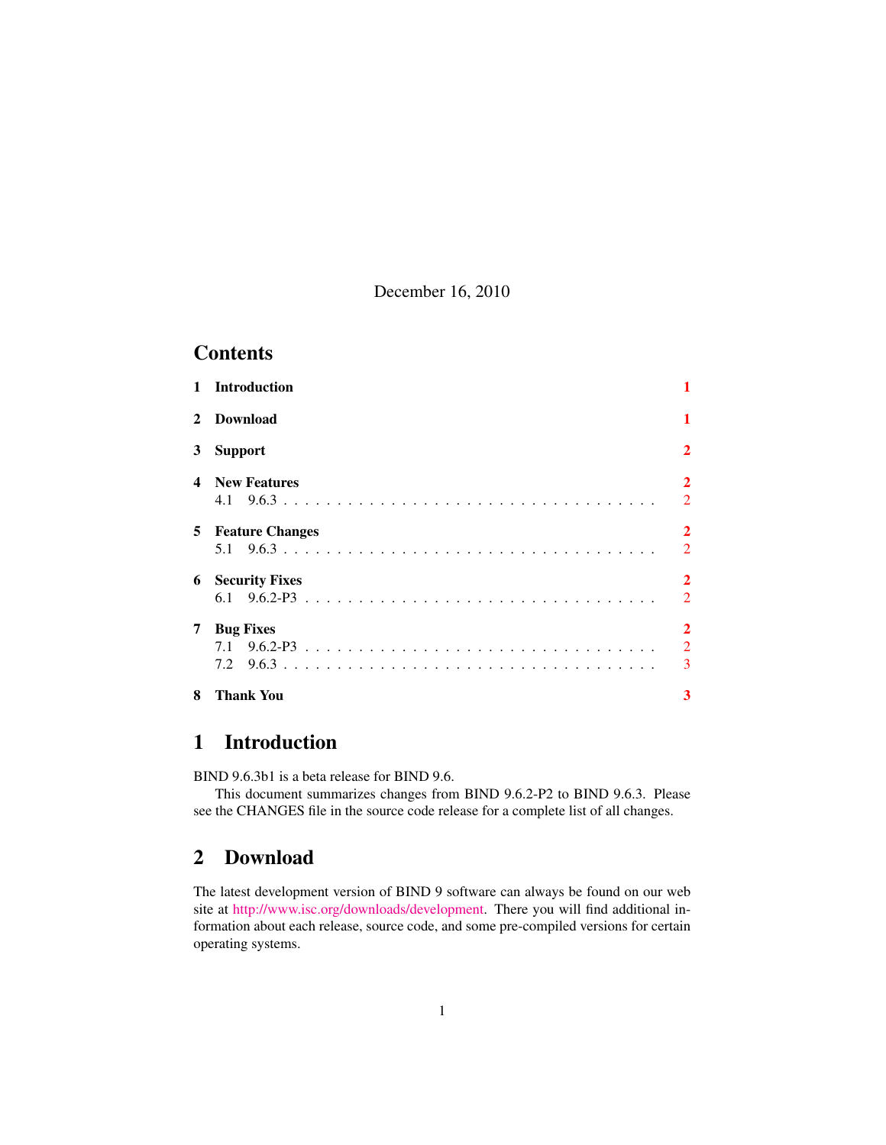December 16, 2010

### **Contents**

| $\mathbf{1}$            | <b>Introduction</b>      |                                       |
|-------------------------|--------------------------|---------------------------------------|
| $\mathbf{2}$            | <b>Download</b>          | 1                                     |
| 3                       | <b>Support</b>           | $\mathbf{2}$                          |
| $\overline{\mathbf{4}}$ | <b>New Features</b>      | $\overline{2}$<br>$\overline{2}$      |
|                         | <b>5</b> Feature Changes | $\overline{2}$<br>$\overline{2}$      |
| 6                       | <b>Security Fixes</b>    | $\mathbf{2}$<br>2                     |
| 7                       | <b>Bug Fixes</b>         | $\overline{2}$<br>$\overline{2}$<br>3 |
| 8                       | Thank You                | 3                                     |

# <span id="page-0-0"></span>1 Introduction

BIND 9.6.3b1 is a beta release for BIND 9.6.

This document summarizes changes from BIND 9.6.2-P2 to BIND 9.6.3. Please see the CHANGES file in the source code release for a complete list of all changes.

## <span id="page-0-1"></span>2 Download

The latest development version of BIND 9 software can always be found on our web site at [http://www.isc.org/downloads/development.](http://www.isc.org/downloads/development) There you will find additional information about each release, source code, and some pre-compiled versions for certain operating systems.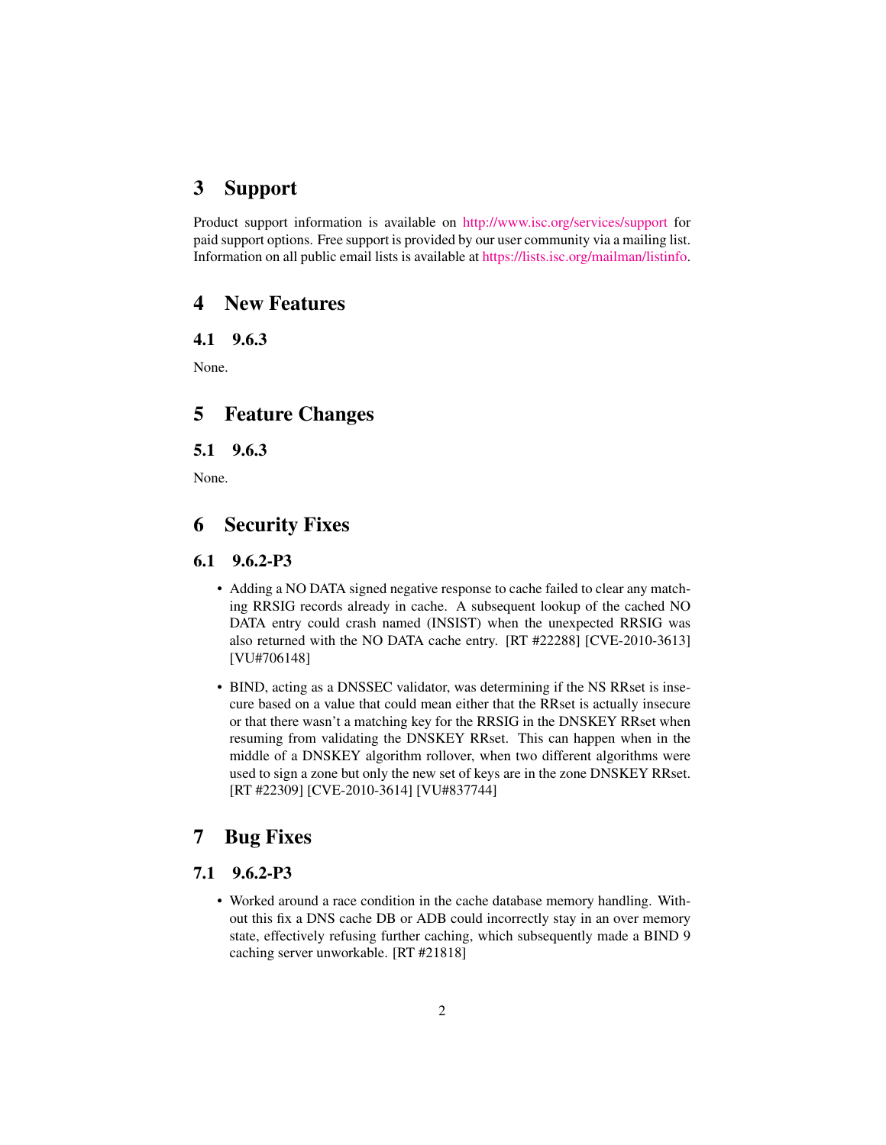#### <span id="page-1-0"></span>3 Support

Product support information is available on <http://www.isc.org/services/support> for paid support options. Free support is provided by our user community via a mailing list. Information on all public email lists is available at [https://lists.isc.org/mailman/listinfo.](https://lists.isc.org/mailman/listinfo)

#### <span id="page-1-1"></span>4 New Features

<span id="page-1-2"></span>4.1 9.6.3

None.

#### <span id="page-1-3"></span>5 Feature Changes

<span id="page-1-4"></span>5.1 9.6.3

None.

## <span id="page-1-5"></span>6 Security Fixes

#### <span id="page-1-6"></span>6.1 9.6.2-P3

- Adding a NO DATA signed negative response to cache failed to clear any matching RRSIG records already in cache. A subsequent lookup of the cached NO DATA entry could crash named (INSIST) when the unexpected RRSIG was also returned with the NO DATA cache entry. [RT #22288] [CVE-2010-3613] [VU#706148]
- BIND, acting as a DNSSEC validator, was determining if the NS RRset is insecure based on a value that could mean either that the RRset is actually insecure or that there wasn't a matching key for the RRSIG in the DNSKEY RRset when resuming from validating the DNSKEY RRset. This can happen when in the middle of a DNSKEY algorithm rollover, when two different algorithms were used to sign a zone but only the new set of keys are in the zone DNSKEY RRset. [RT #22309] [CVE-2010-3614] [VU#837744]

# <span id="page-1-7"></span>7 Bug Fixes

#### <span id="page-1-8"></span>7.1 9.6.2-P3

• Worked around a race condition in the cache database memory handling. Without this fix a DNS cache DB or ADB could incorrectly stay in an over memory state, effectively refusing further caching, which subsequently made a BIND 9 caching server unworkable. [RT #21818]